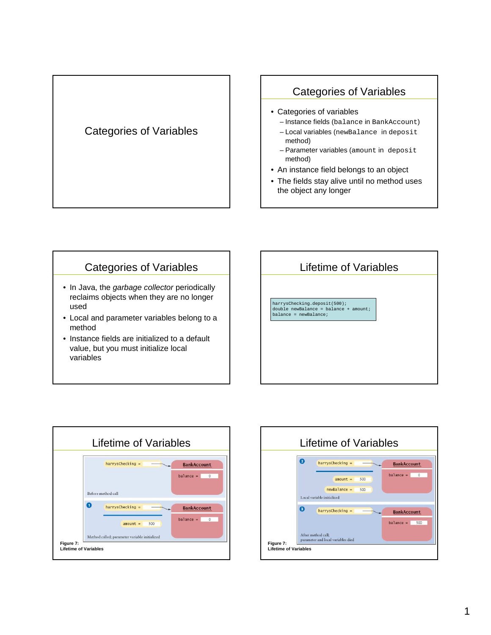### Categories of Variables

### Categories of Variables

- Categories of variables
	- Instance fields (balance in BankAccount)
	- Local variables (newBalance in deposit method)
	- Parameter variables (amount in deposit method)
- An instance field belongs to an object
- The fields stay alive until no method uses the object any longer

### Categories of Variables

- In Java, the garbage collector periodically reclaims objects when they are no longer used
- Local and parameter variables belong to a method
- Instance fields are initialized to a default value, but you must initialize local variables





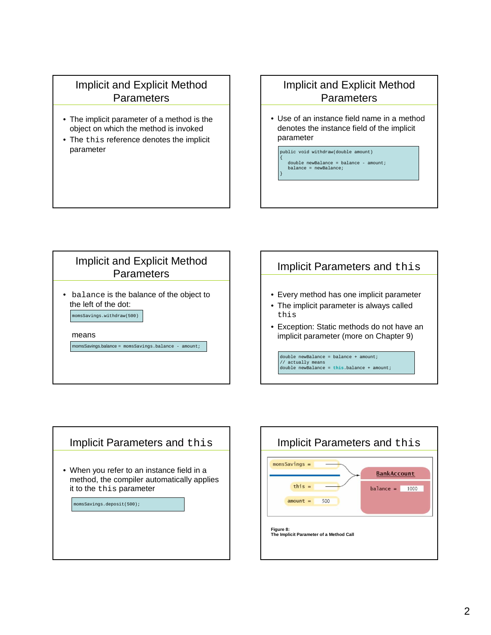### Implicit and Explicit Method **Parameters**

- The implicit parameter of a method is the object on which the method is invoked
- The this reference denotes the implicit parameter

## Implicit and Explicit Method **Parameters**

- Use of an instance field name in a method denotes the instance field of the implicit parameter
	- public void withdraw(double amount) { double newBalance = balance - amount; balance = newBalance; }



# Implicit Parameters and this • Every method has one implicit parameter • The implicit parameter is always called • Exception: Static methods do not have an implicit parameter (more on Chapter 9) double newBalance = balance +  $amount;$ // actually means double newBalance = **this**.balance + amount;

# Implicit Parameters and this • When you refer to an instance field in a method, the compiler automatically applies it to the this parameter omsSavings.deposit(500);